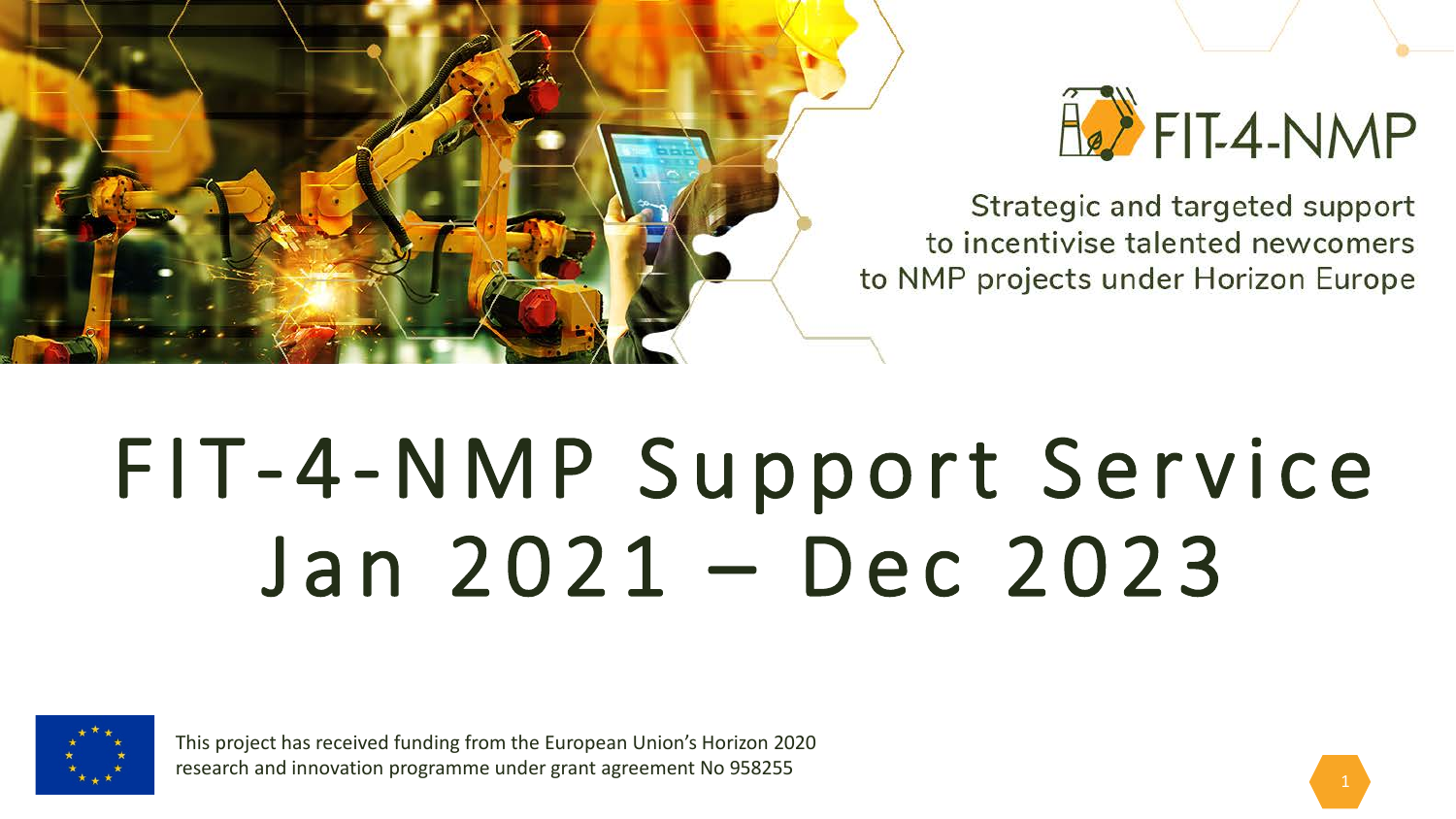



Strategic and targeted support to incentivise talented newcomers to NMP projects under Horizon Europe

# FIT - 4-NMP Support Service Jan 2021 – Dec 2023



This project has received funding from the European Union's Horizon 2020 research and innovation programme under grant agreement No 958255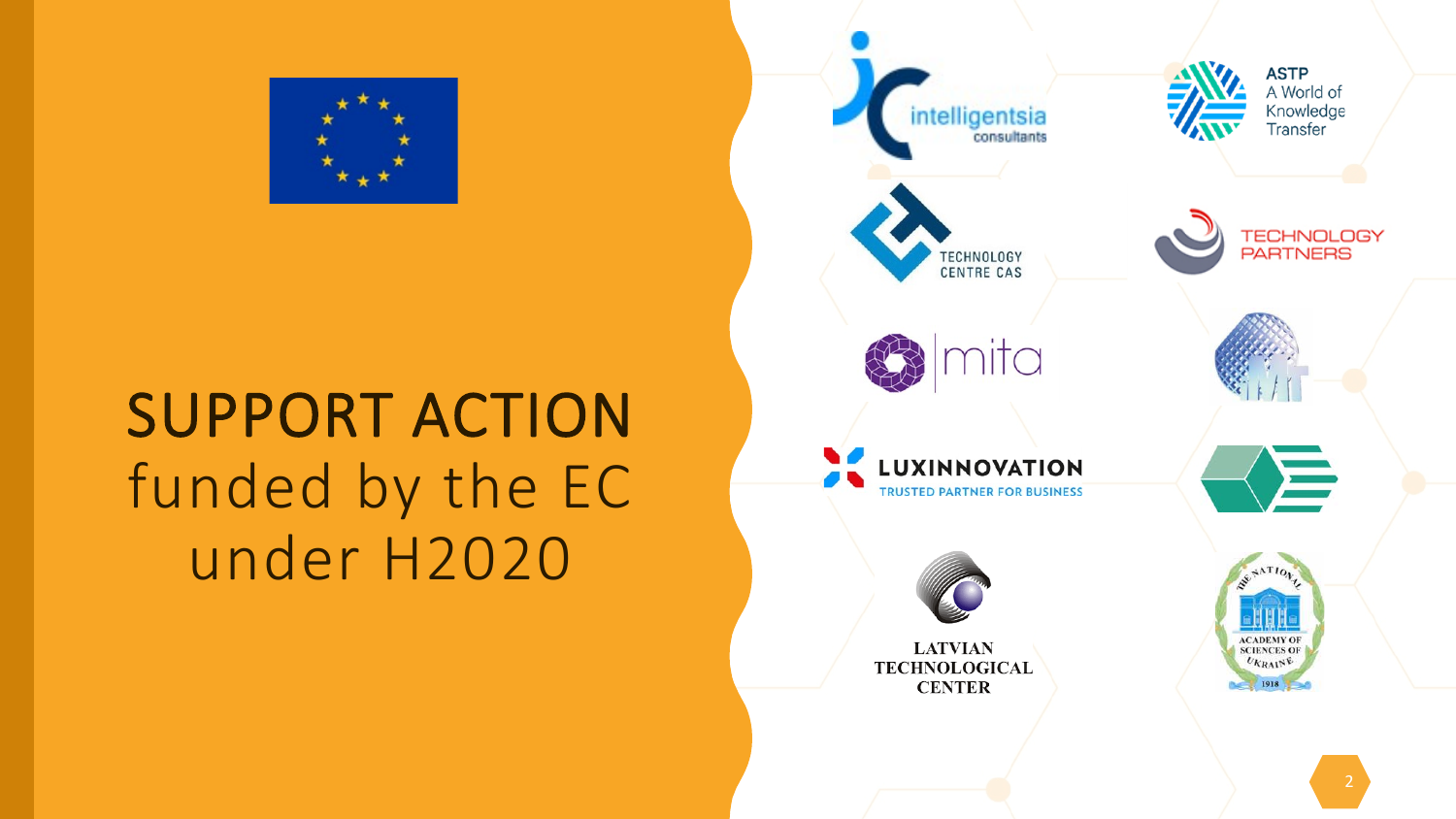

## SUPPORT ACTION funded by the EC under H2020

**ASTP** A World of Knowledge<br>Transfer intelligentsia consultants TECHNOLOGY<br>PARTNERS TECHNOLOGY **CENTRE CAS** nita  $\triangleleft$ **LUXINNOVATION TRUSTED PARTNER FOR BUSINESS ACADEMY OF**<br>**SCIENCES OF LATVIAN**  $U_{KRA1}$ NE **TECHNOLOGICAL CENTER** 1918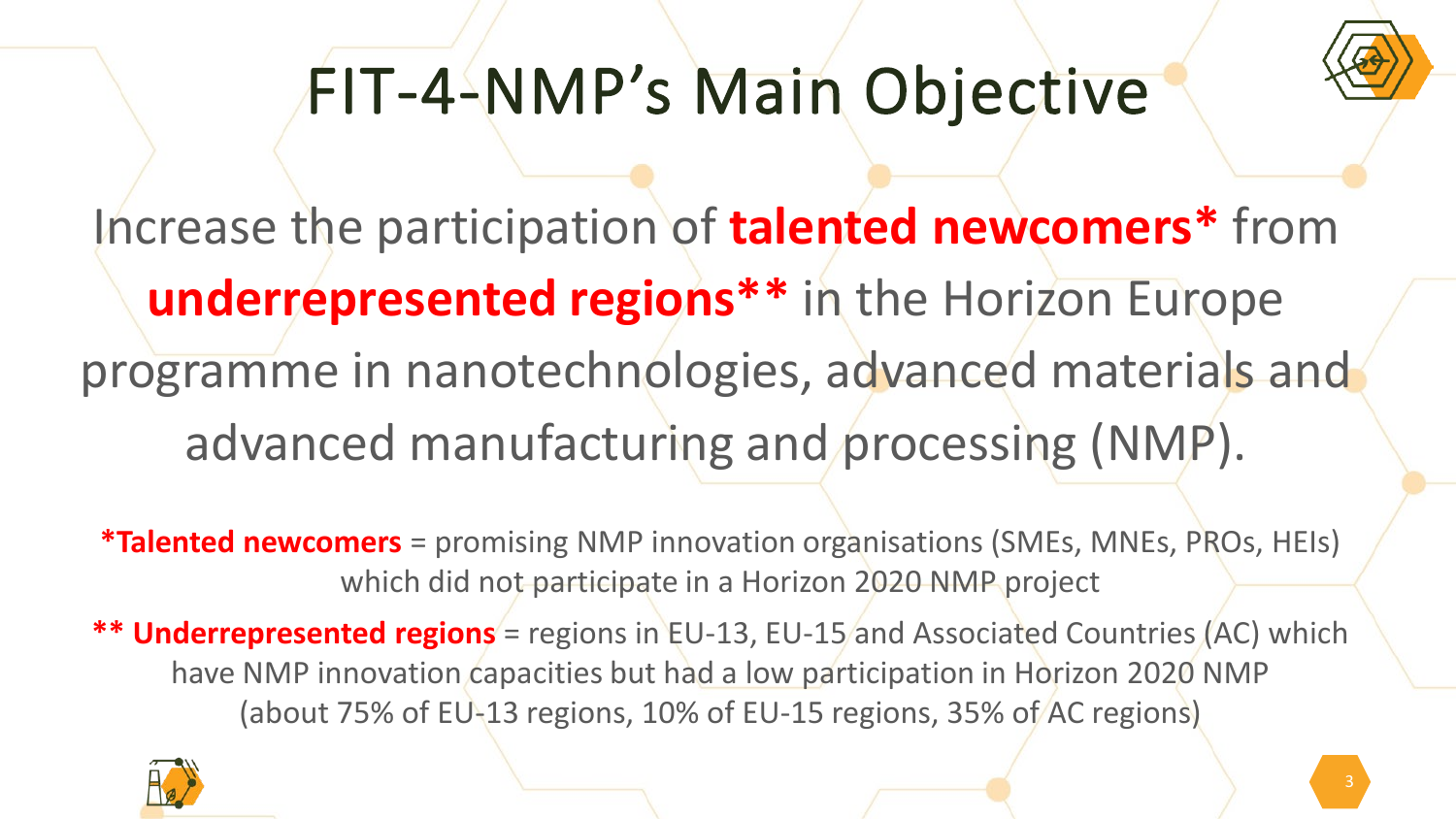

# FIT-4-NMP's Main Objective

Increase the participation of **talented newcomers\*** from **underrepresented regions\*\*** in the Horizon Europe programme in nanotechnologies, advanced materials and advanced manufacturing and processing (NMP).

**\*Talented newcomers** = promising NMP innovation organisations (SMEs, MNEs, PROs, HEIs) which did not participate in a Horizon 2020 NMP project

\*\* **Underrepresented regions** = regions in EU-13, EU-15 and Associated Countries (AC) which have NMP innovation capacities but had a low participation in Horizon 2020 NMP (about 75% of EU-13 regions, 10% of EU-15 regions, 35% of AC regions)

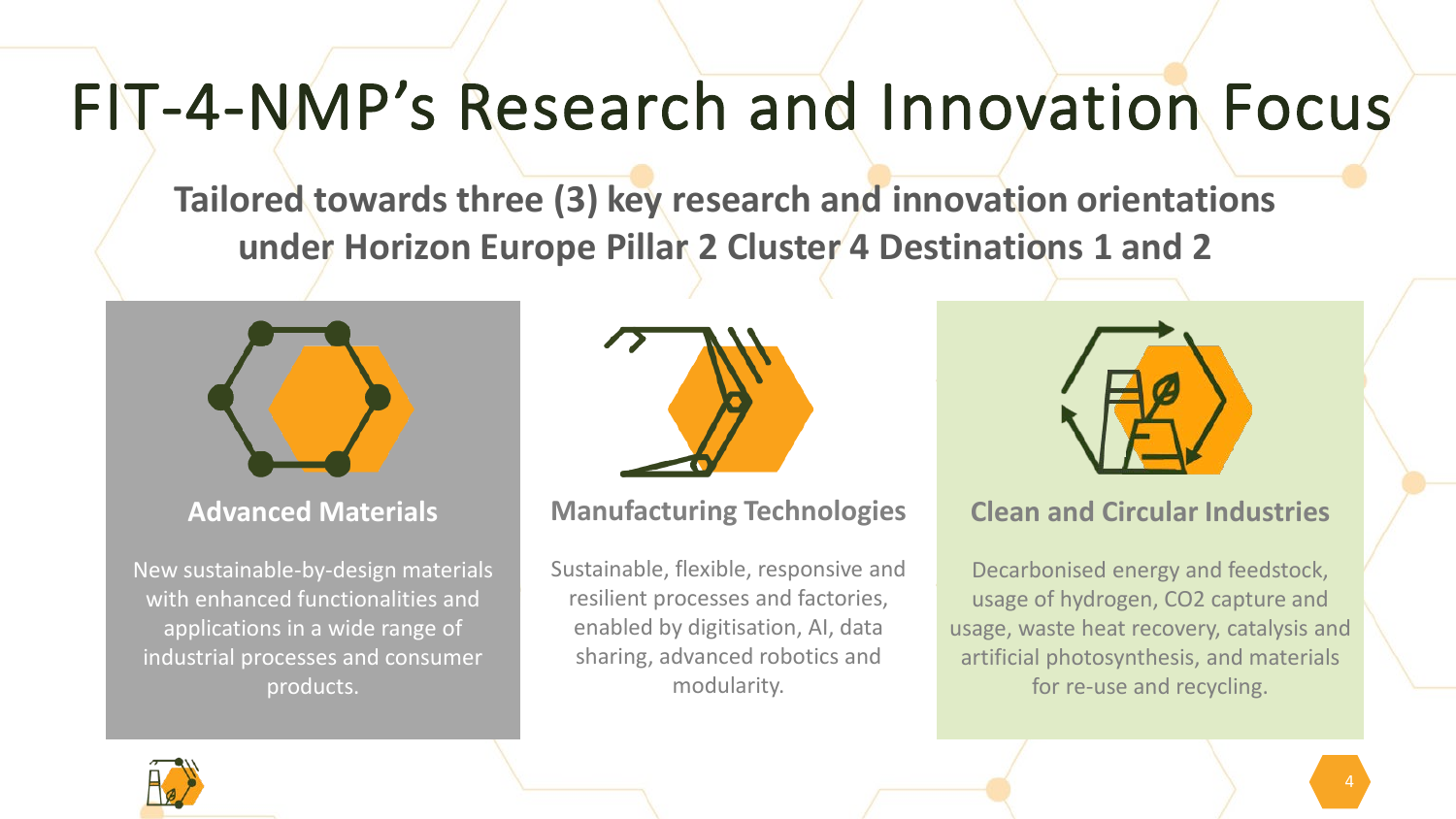## FIT-4-NMP's Research and Innovation Focus

**Tailored towards three (3) key research and innovation orientations under Horizon Europe Pillar 2 Cluster 4 Destinations 1 and 2**



**Advanced Materials**

New sustainable-by-design materials with enhanced functionalities and applications in a wide range of industrial processes and consumer products.



#### **Manufacturing Technologies**

Sustainable, flexible, responsive and resilient processes and factories, enabled by digitisation, AI, data sharing, advanced robotics and modularity.



#### **Clean and Circular Industries**

Decarbonised energy and feedstock, usage of hydrogen, CO2 capture and usage, waste heat recovery, catalysis and artificial photosynthesis, and materials for re-use and recycling.

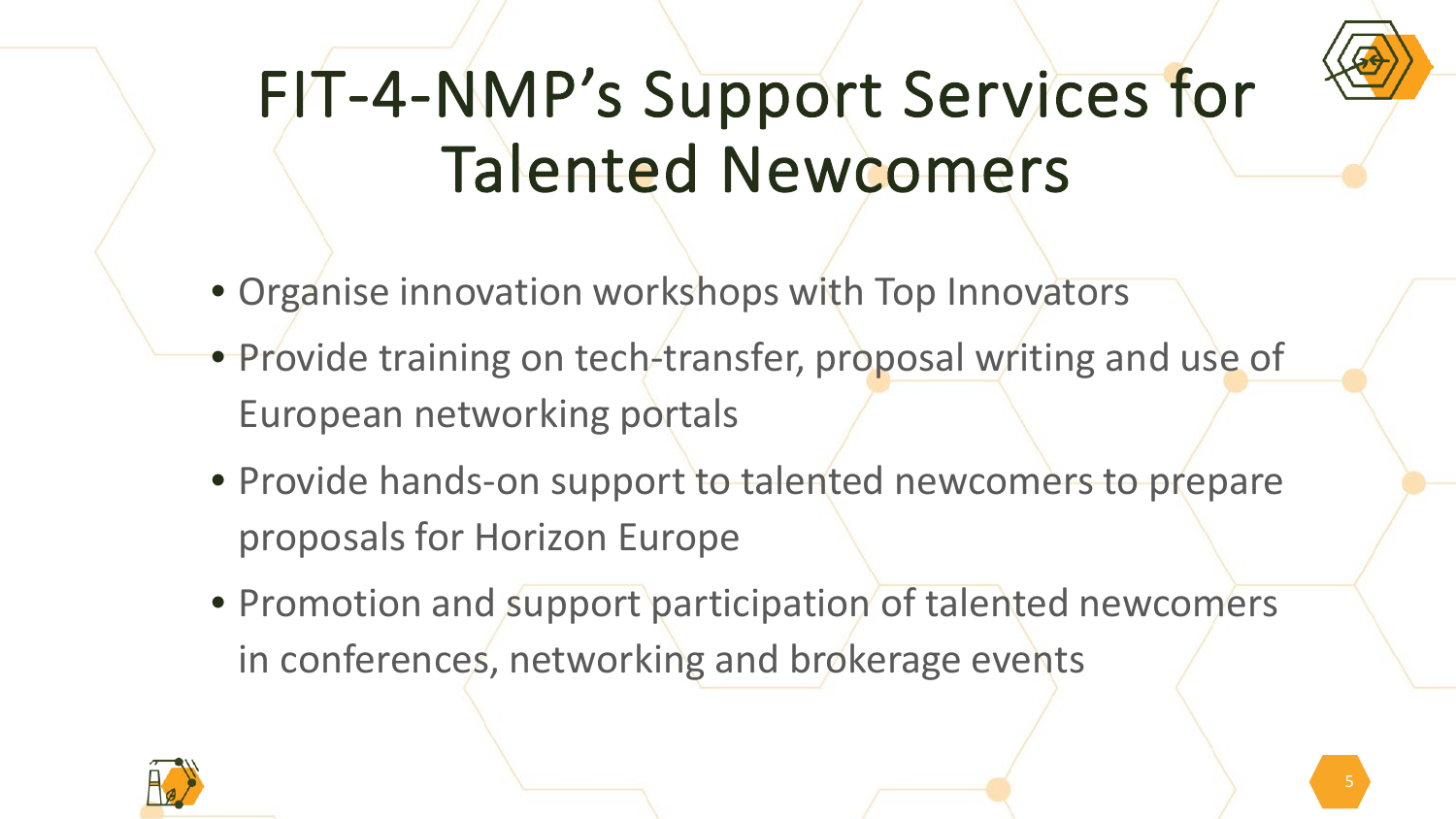

# FIT-4-NMP's Support Services for Talented Newcomers

- Organise innovation workshops with Top Innovators
- Provide training on tech-transfer, proposal writing and use of European networking portals
- Provide hands-on support to talented newcomers to prepare proposals for Horizon Europe
- Promotion and support participation of talented newcomers in conferences, networking and brokerage events

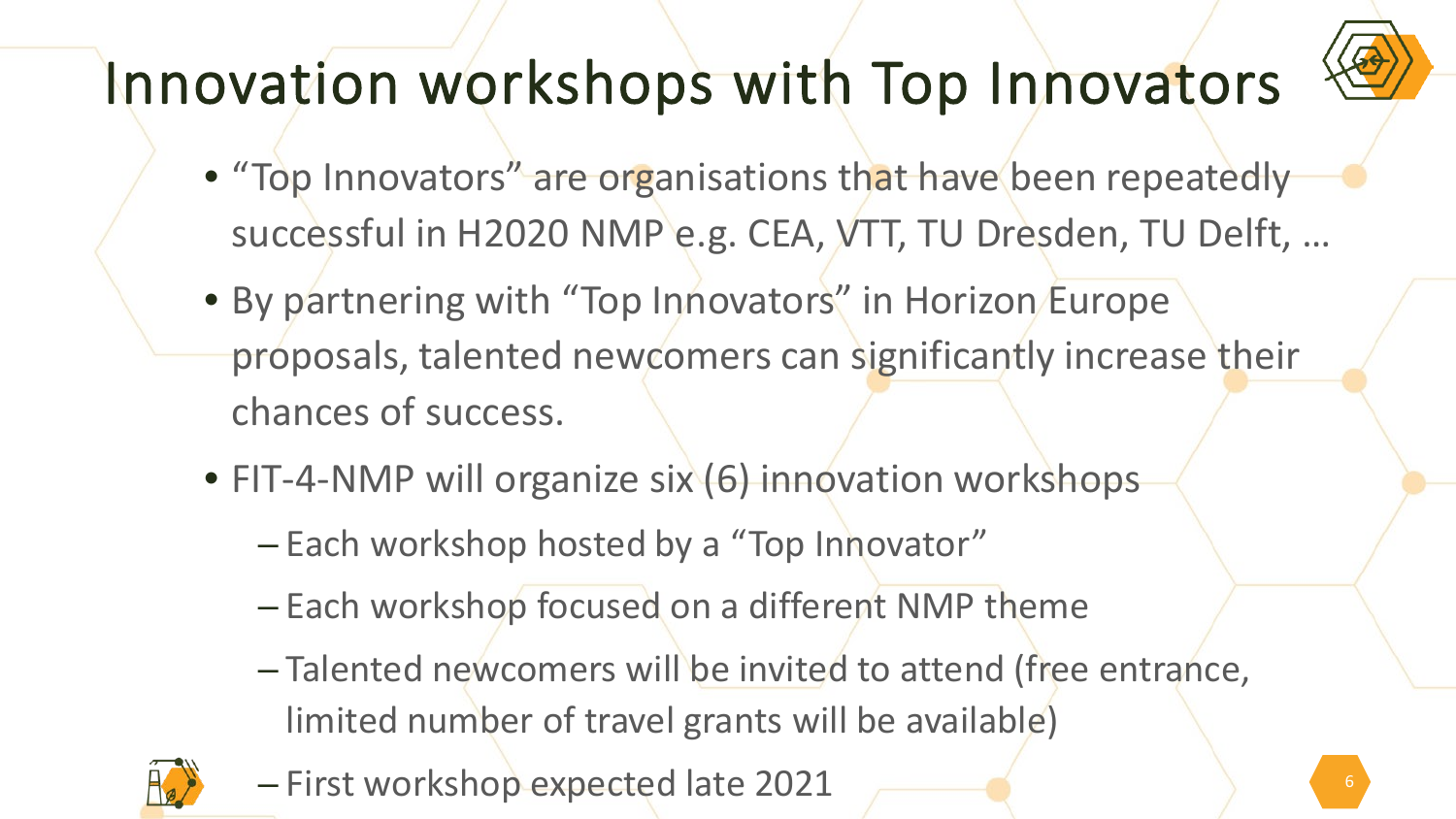

#### Innovation workshops with Top Innovators

- "Top Innovators" are organisations that have been repeatedly successful in H2020 NMP e.g. CEA, VTT, TU Dresden, TU Delft, …
- By partnering with "Top Innovators" in Horizon Europe proposals, talented newcomers can significantly increase their chances of success.
- FIT-4-NMP will organize six (6) innovation workshops
	- Each workshop hosted by a "Top Innovator"
	- Each workshop focused on a different NMP theme
	- Talented newcomers will be invited to attend (free entrance, limited number of travel grants will be available)



– First workshop expected late 2021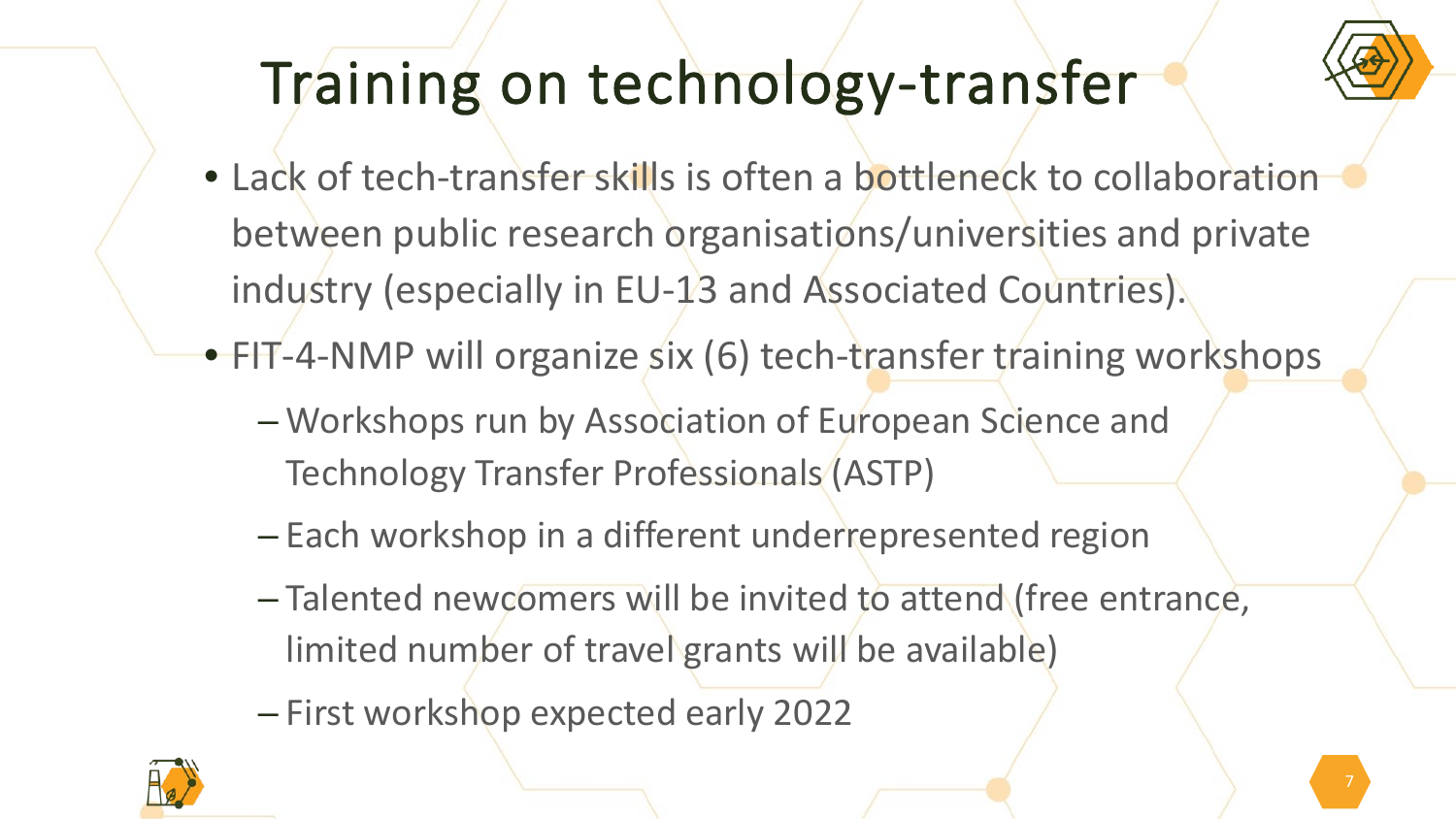

#### Training on technology-transfer

• Lack of tech-transfer skills is often a bottleneck to collaboration between public research organisations/universities and private industry (especially in EU-13 and Associated Countries).

• FIT-4-NMP will organize six (6) tech-transfer training workshops

- Workshops run by Association of European Science and Technology Transfer Professionals (ASTP)
- Each workshop in a different underrepresented region
- Talented newcomers will be invited to attend (free entrance, limited number of travel grants will be available)
- First workshop expected early 2022

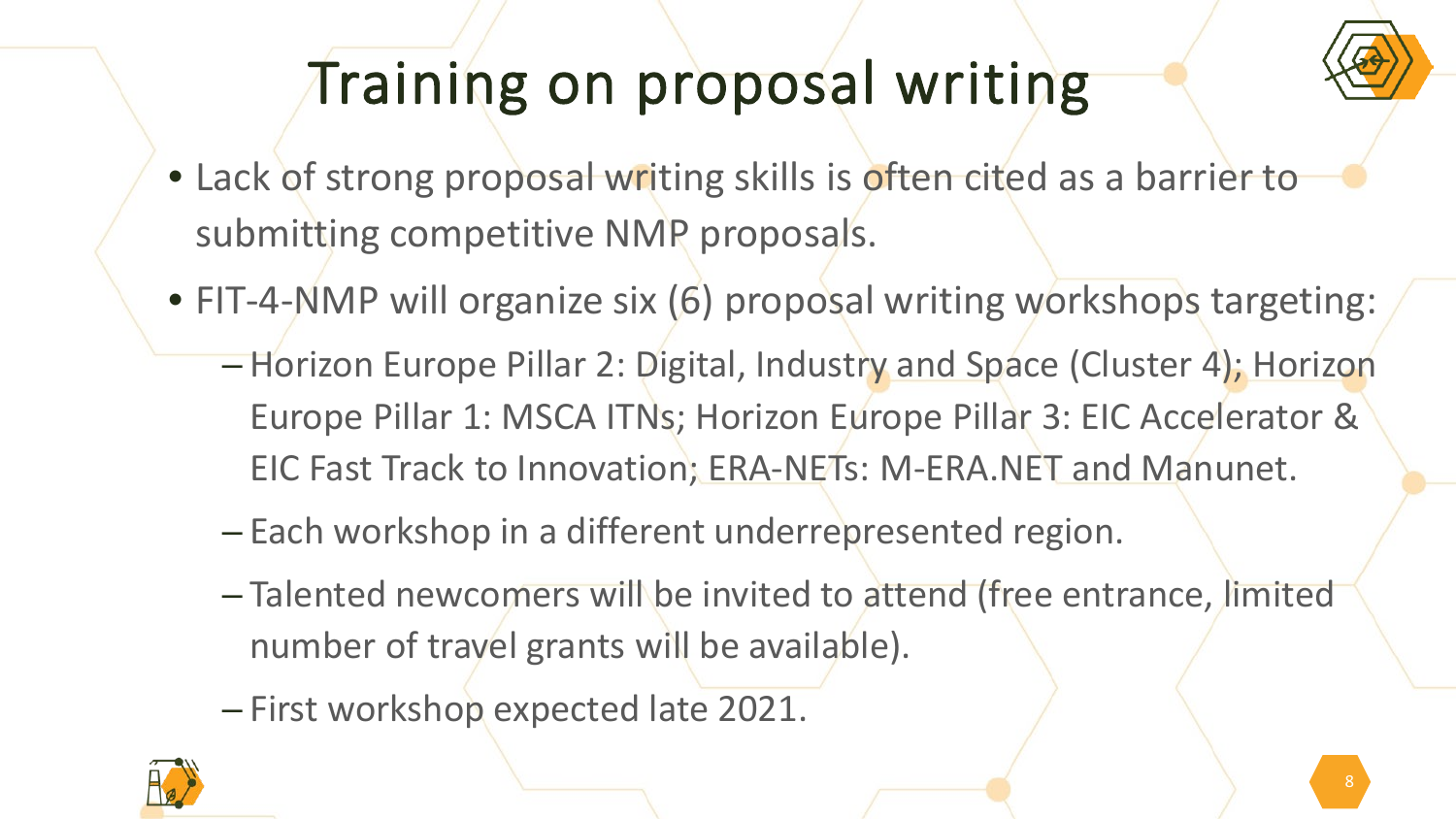#### Training on proposal writing

- Lack of strong proposal writing skills is often cited as a barrier to submitting competitive NMP proposals.
- FIT-4-NMP will organize six (6) proposal writing workshops targeting:
	- Horizon Europe Pillar 2: Digital, Industry and Space (Cluster 4); Horizon Europe Pillar 1: MSCA ITNs; Horizon Europe Pillar 3: EIC Accelerator & EIC Fast Track to Innovation; ERA-NETs: M-ERA.NET and Manunet.
	- Each workshop in a different underrepresented region.
	- Talented newcomers will be invited to attend (free entrance, limited number of travel grants will be available).
	- First workshop expected late 2021.

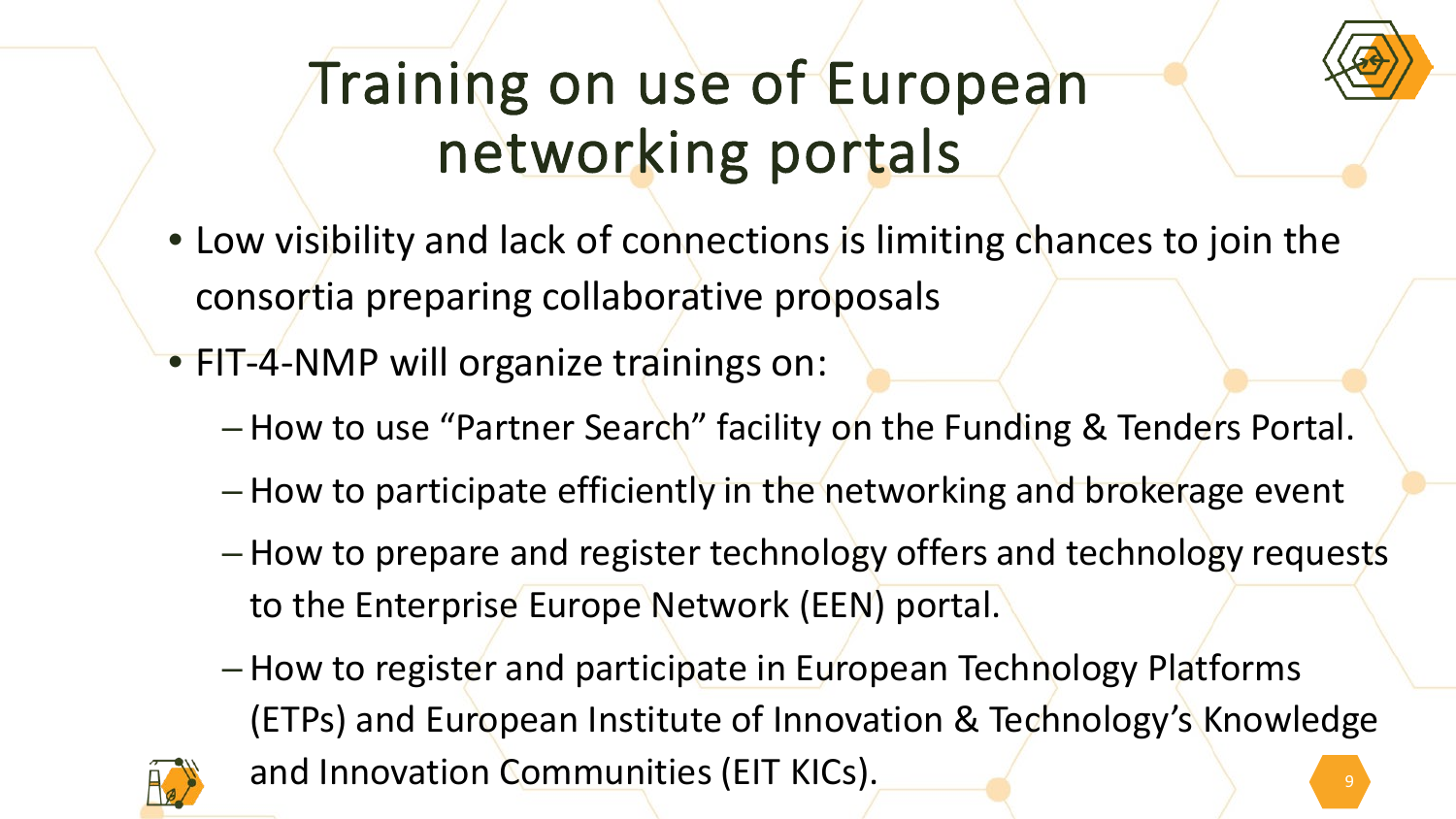

## Training on use of European networking portals

- Low visibility and lack of connections is limiting chances to join the consortia preparing collaborative proposals
- FIT-4-NMP will organize trainings on:
	- How to use "Partner Search" facility on the Funding & Tenders Portal.
	- How to participate efficiently in the networking and brokerage event
	- How to prepare and register technology offers and technology requests to the Enterprise Europe Network (EEN) portal.
	- How to register and participate in European Technology Platforms (ETPs) and European Institute of Innovation & Technology's Knowledge and Innovation Communities (EIT KICs).

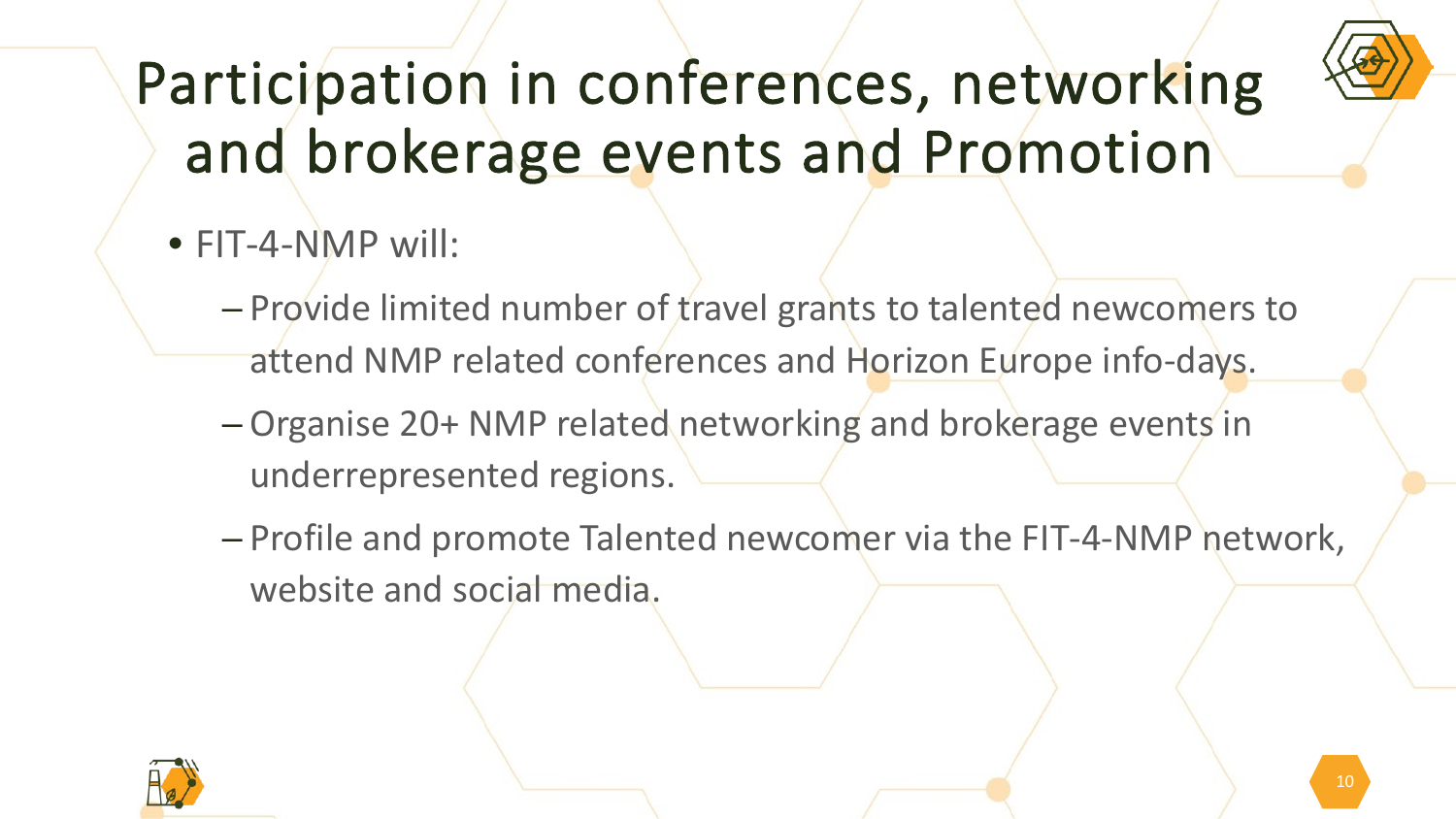

## Participation in conferences, networking and brokerage events and Promotion

- FIT-4-NMP will:
	- Provide limited number of travel grants to talented newcomers to attend NMP related conferences and Horizon Europe info-days.
	- Organise 20+ NMP related networking and brokerage events in underrepresented regions.
	- Profile and promote Talented newcomer via the FIT-4-NMP network, website and social media.

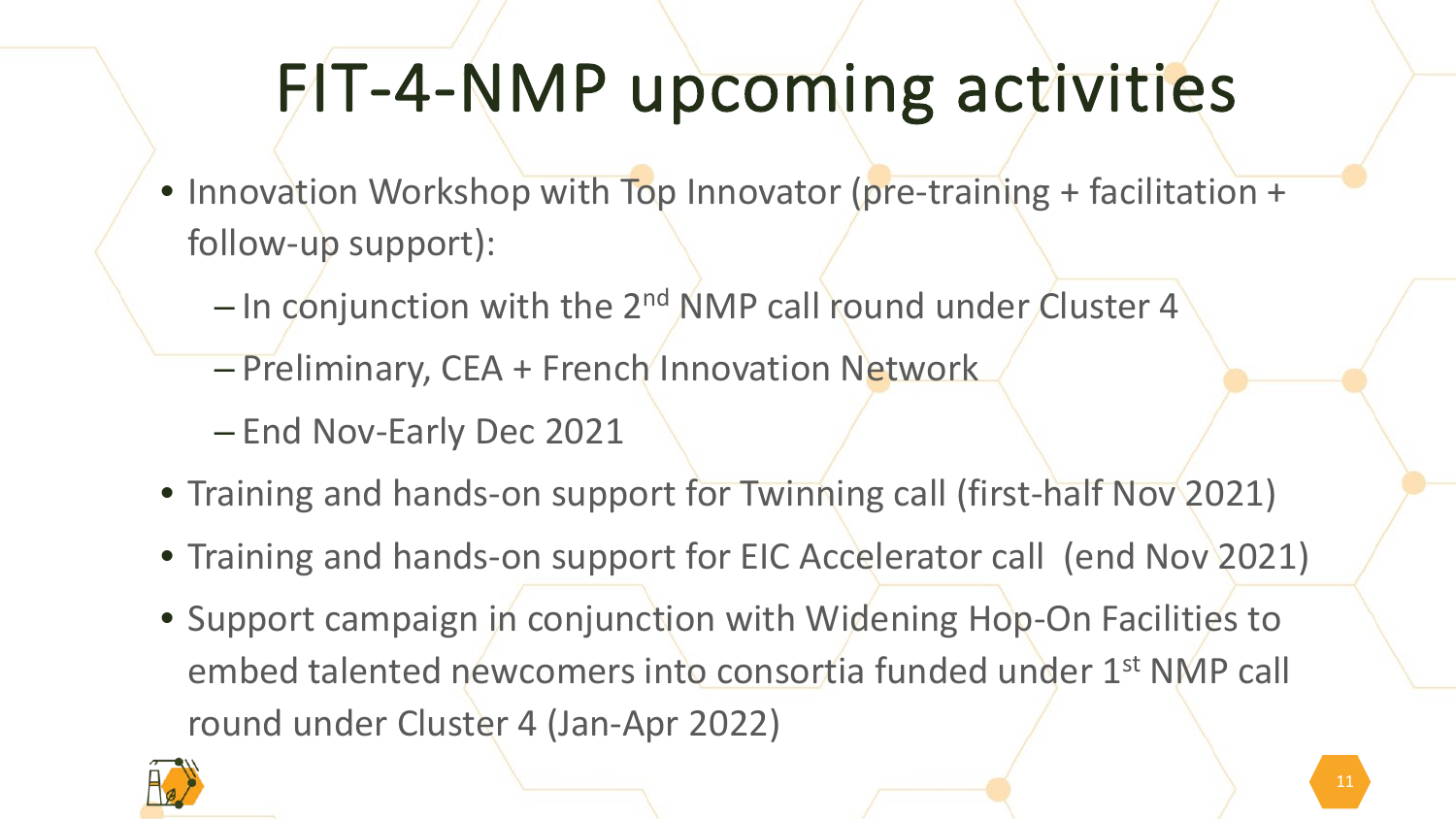# FIT-4-NMP upcoming activities

- Innovation Workshop with Top Innovator (pre-training + facilitation + follow-up support):
	- $-$  In conjunction with the 2<sup>nd</sup> NMP call round under Cluster 4
	- Preliminary, CEA + French Innovation Network
	- End Nov-Early Dec 2021
- Training and hands-on support for Twinning call (first-half Nov 2021)
- Training and hands-on support for EIC Accelerator call (end Nov 2021)
- Support campaign in conjunction with Widening Hop-On Facilities to embed talented newcomers into consortia funded under 1st NMP call round under Cluster 4 (Jan-Apr 2022)

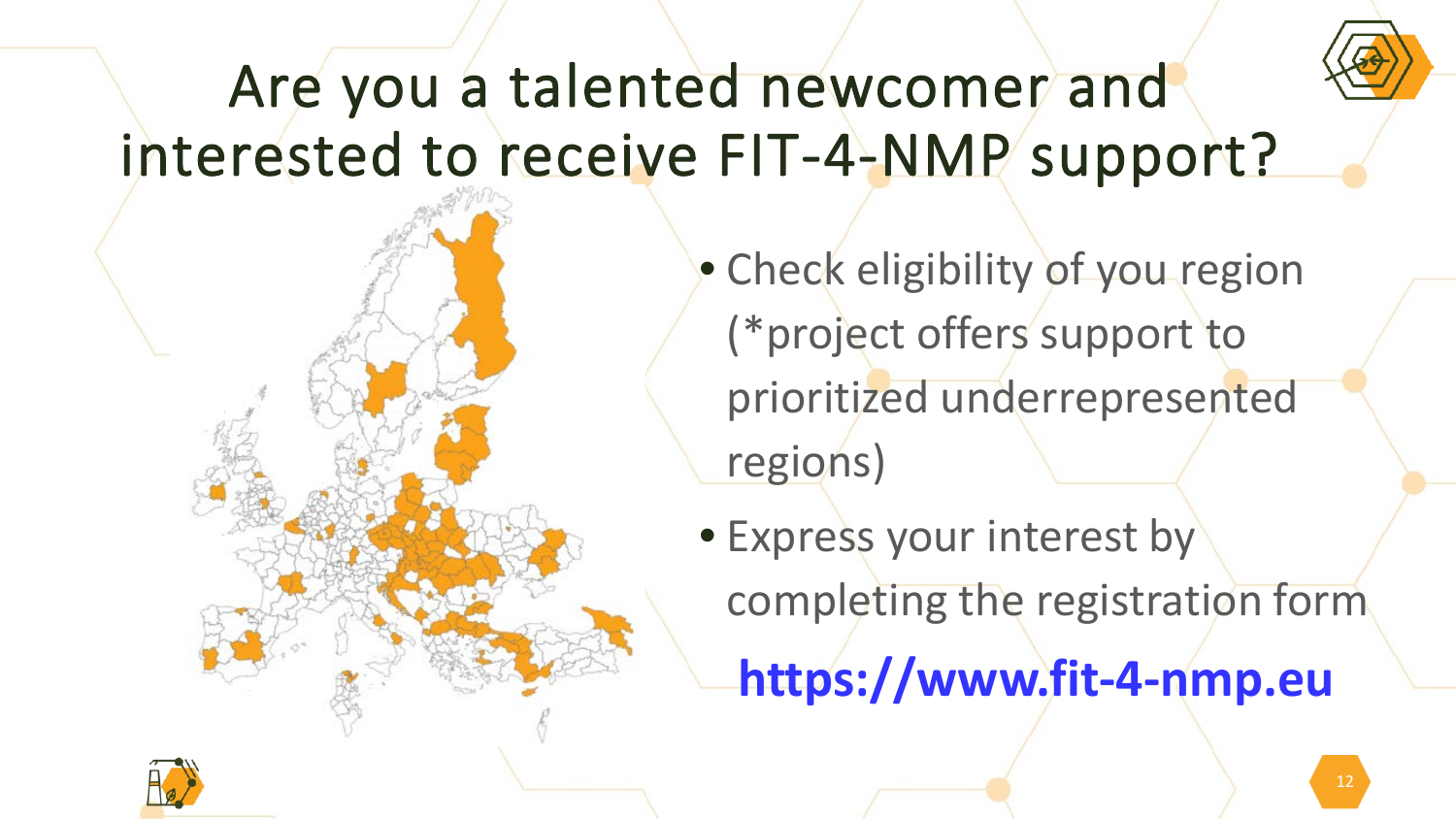

#### Are you a talented newcomer and interested to receive FIT-4-NMP support?

- Check eligibility of you region (\*project offers support to prioritized underrepresented regions)
- Express your interest by completing the registration form **https://www.fit-4-nmp.eu**